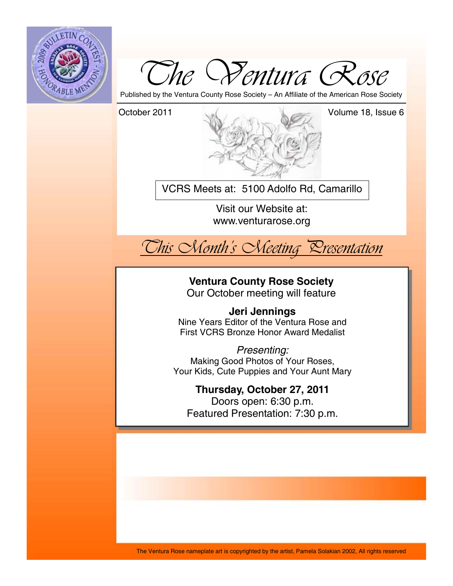



Published by the Ventura County Rose Society – An Affiliate of the American Rose Society

October 2011 Volume 18, Issue 6

VCRS Meets at: 5100 Adolfo Rd, Camarillo

Visit our Website at: www.venturarose.org



**Ventura County Rose Society** 

Our October meeting will feature

## **Jeri Jennings**

Nine Years Editor of the Ventura Rose and First VCRS Bronze Honor Award Medalist

*Presenting:*  Making Good Photos of Your Roses, Your Kids, Cute Puppies and Your Aunt Mary

## **Thursday, October 27, 2011**

Doors open: 6:30 p.m. Featured Presentation: 7:30 p.m.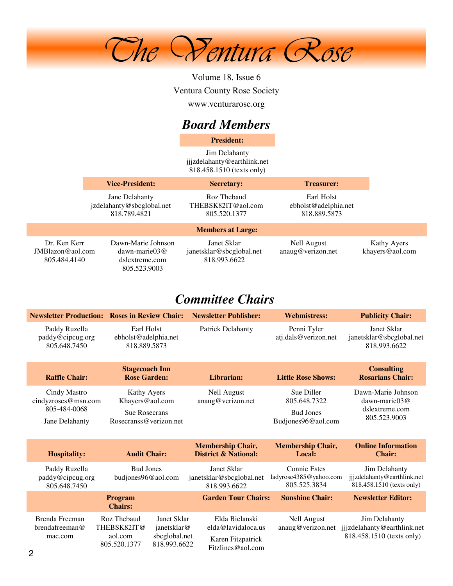

Volume 18, Issue 6 Ventura County Rose Society www.venturarose.org

# *Board Members*

**President:**

Jim Delahanty jjjzdelahanty@earthlink.net 818.458.1510 (texts only)

|                                                     | <b>Vice-President:</b>                                                         | <b>Secretary:</b>                                       | <b>Treasurer:</b>                                  |                                |
|-----------------------------------------------------|--------------------------------------------------------------------------------|---------------------------------------------------------|----------------------------------------------------|--------------------------------|
|                                                     | Jane Delahanty<br>jzdelahanty@sbcglobal.net<br>818.789.4821                    | Roz Thebaud<br>THEBSK82IT@aol.com<br>805.520.1377       | Earl Holst<br>ebholst@adelphia.net<br>818.889.5873 |                                |
|                                                     |                                                                                | <b>Members at Large:</b>                                |                                                    |                                |
| Dr. Ken Kerr<br>$JMB$ lazon@aol.com<br>805.484.4140 | Dawn-Marie Johnson<br>$dawn\text{-}marie03@$<br>dslextreme.com<br>805.523.9003 | Janet Sklar<br>janetsklar@sbcglobal.net<br>818.993.6622 | Nell August<br>anaug@verizon.net                   | Kathy Ayers<br>khayers@aol.com |

# *Committee Chairs*

|                                                                       | <b>Newsletter Production: Roses in Review Chair:</b>                             | <b>Newsletter Publisher:</b>                                | <b>Webmistress:</b>                                                  | <b>Publicity Chair:</b>                                                   |
|-----------------------------------------------------------------------|----------------------------------------------------------------------------------|-------------------------------------------------------------|----------------------------------------------------------------------|---------------------------------------------------------------------------|
| Paddy Ruzella<br>paddy@cipcug.org<br>805.648.7450                     | Earl Holst<br>ebholst@adelphia.net<br>818.889.5873                               | <b>Patrick Delahanty</b>                                    | Penni Tyler<br>atj.dals@verizon.net                                  | Janet Sklar<br>janetsklar@sbcglobal.net<br>818.993.6622                   |
| <b>Raffle Chair:</b>                                                  | <b>Stagecoach Inn</b><br><b>Rose Garden:</b>                                     | Librarian:                                                  | <b>Little Rose Shows:</b>                                            | <b>Consulting</b><br><b>Rosarians Chair:</b>                              |
| Cindy Mastro<br>cindyzroses@msn.com<br>805-484-0068<br>Jane Delahanty | Kathy Ayers<br>Khayers@aol.com<br><b>Sue Rosecrans</b><br>Rosecranss@verizon.net | <b>Nell August</b><br>anaug@verizon.net                     | Sue Diller<br>805.648.7322<br><b>Bud Jones</b><br>Budjones96@aol.com | Dawn-Marie Johnson<br>dawn-marie $03@$<br>dslextreme.com<br>805.523.9003  |
| <b>Hospitality:</b>                                                   | <b>Audit Chair:</b>                                                              | <b>Membership Chair,</b><br><b>District &amp; National:</b> | <b>Membership Chair,</b><br>Local:                                   | <b>Online Information</b><br><b>Chair:</b>                                |
| Paddy Ruzella<br>paddy@cipcug.org<br>805.648.7450                     | <b>Bud Jones</b><br>budjones96@aol.com                                           | Janet Sklar<br>janetsklar@sbcglobal.net<br>818.993.6622     | <b>Connie Estes</b><br>ladyrose4385@yahoo.com<br>805.525.3834        | Jim Delahanty<br>jjjzdelahanty@earthlink.net<br>818.458.1510 (texts only) |
|                                                                       | Program<br><b>Chairs:</b>                                                        | <b>Garden Tour Chairs:</b>                                  | <b>Sunshine Chair:</b>                                               | <b>Newsletter Editor:</b>                                                 |
| Brenda Freeman<br>Roz Thebaud                                         |                                                                                  |                                                             |                                                                      |                                                                           |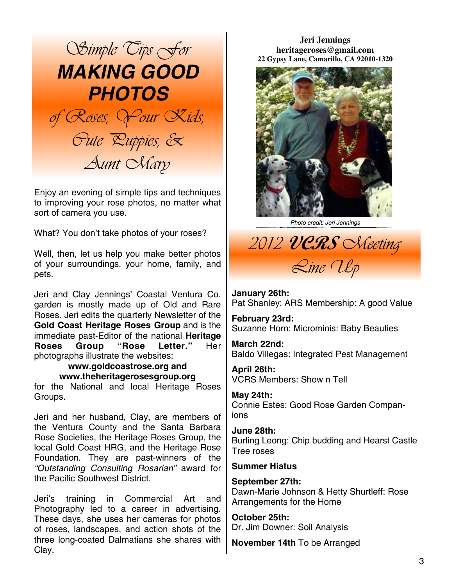

Enjoy an evening of simple tips and techniques to improving your rose photos, no matter what sort of camera you use.

What? You don't take photos of your roses?

Well, then, let us help you make better photos of your surroundings, your home, family, and pets.

Jeri and Clay Jennings' Coastal Ventura Co. garden is mostly made up of Old and Rare Roses. Jeri edits the quarterly Newsletter of the **Gold Coast Heritage Roses Group** and is the immediate past-Editor of the national **Heritage Roses Group "Rose Letter."** Her photographs illustrate the websites:

## **www.goldcoastrose.org and www.theheritagerosesgroup.org**

for the National and local Heritage Roses Groups.

Jeri and her husband, Clay, are members of the Ventura County and the Santa Barbara Rose Societies, the Heritage Roses Group, the local Gold Coast HRG, and the Heritage Rose Foundation. They are past-winners of the *"Outstanding Consulting Rosarian"* award for the Pacific Southwest District.

Jeri's training in Commercial Art and Photography led to a career in advertising. These days, she uses her cameras for photos of roses, landscapes, and action shots of the three long-coated Dalmatians she shares with Clay.

**Jeri Jennings heritageroses@gmail.com 22 Gypsy Lane, Camarillo, CA 92010-1320** 



*Photo credit: Jeri Jennings* 

*2012* **VCRS** *Meeting Line Up* 

**January 26th:**  Pat Shanley: ARS Membership: A good Value

**February 23rd:**  Suzanne Horn: Microminis: Baby Beauties

**March 22nd:**  Baldo Villegas: Integrated Pest Management

**April 26th:**  VCRS Members: Show n Tell

**May 24th:**  Connie Estes: Good Rose Garden Companions

**June 28th:**  Burling Leong: Chip budding and Hearst Castle Tree roses

#### **Summer Hiatus**

**September 27th:**  Dawn-Marie Johnson & Hetty Shurtleff: Rose Arrangements for the Home

**October 25th:**  Dr. Jim Downer: Soil Analysis

**November 14th** To be Arranged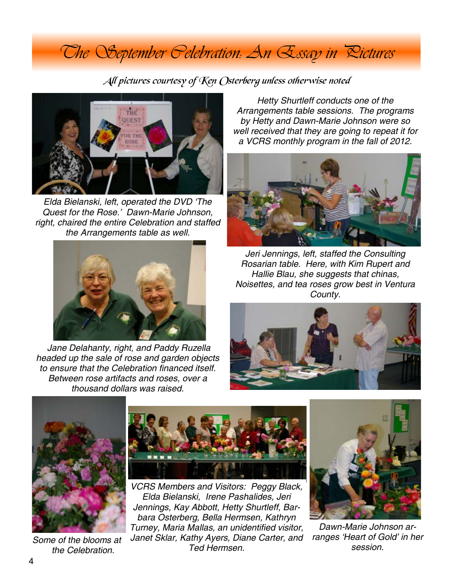# *The September Celebration: An Essay in Pictures*

All pictures courtesy of Ken Osterberg unless otherwise noted



*Elda Bielanski, left, operated the DVD 'The Quest for the Rose.' Dawn-Marie Johnson, right, chaired the entire Celebration and staffed the Arrangements table as well.*



 *Jane Delahanty, right, and Paddy Ruzella headed up the sale of rose and garden objects to ensure that the Celebration financed itself. Between rose artifacts and roses, over a thousand dollars was raised.*

*Hetty Shurtleff conducts one of the Arrangements table sessions. The programs by Hetty and Dawn-Marie Johnson were so well received that they are going to repeat it for a VCRS monthly program in the fall of 2012.*



*Jeri Jennings, left, staffed the Consulting Rosarian table. Here, with Kim Rupert and Hallie Blau, she suggests that chinas, Noisettes, and tea roses grow best in Ventura County.*





*Some of the blooms at the Celebration.*



*VCRS Members and Visitors: Peggy Black, Elda Bielanski, Irene Pashalides, Jeri Jennings, Kay Abbott, Hetty Shurtleff, Barbara Osterberg, Bella Hermsen, Kathryn Turney, Maria Mallas, an unidentified visitor, Janet Sklar, Kathy Ayers, Diane Carter, and Ted Hermsen.*



*Dawn-Marie Johnson arranges 'Heart of Gold' in her session.*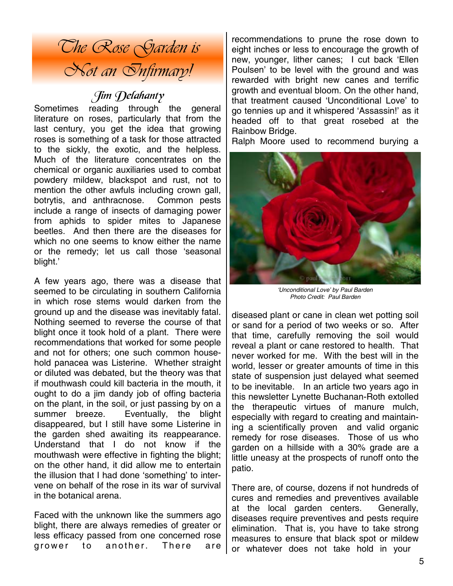

# Jim Delahanty

Sometimes reading through the general literature on roses, particularly that from the last century, you get the idea that growing roses is something of a task for those attracted to the sickly, the exotic, and the helpless. Much of the literature concentrates on the chemical or organic auxiliaries used to combat powdery mildew, blackspot and rust, not to mention the other awfuls including crown gall, botrytis, and anthracnose. Common pests include a range of insects of damaging power from aphids to spider mites to Japanese beetles. And then there are the diseases for which no one seems to know either the name or the remedy; let us call those 'seasonal blight.'

A few years ago, there was a disease that seemed to be circulating in southern California in which rose stems would darken from the ground up and the disease was inevitably fatal. Nothing seemed to reverse the course of that blight once it took hold of a plant. There were recommendations that worked for some people and not for others; one such common household panacea was Listerine. Whether straight or diluted was debated, but the theory was that if mouthwash could kill bacteria in the mouth, it ought to do a jim dandy job of offing bacteria on the plant, in the soil, or just passing by on a summer breeze. Eventually, the blight disappeared, but I still have some Listerine in the garden shed awaiting its reappearance. Understand that I do not know if the mouthwash were effective in fighting the blight; on the other hand, it did allow me to entertain the illusion that I had done 'something' to intervene on behalf of the rose in its war of survival in the botanical arena.

Faced with the unknown like the summers ago blight, there are always remedies of greater or less efficacy passed from one concerned rose grower to another. There are

recommendations to prune the rose down to eight inches or less to encourage the growth of new, younger, lither canes; I cut back 'Ellen Poulsen' to be level with the ground and was rewarded with bright new canes and terrific growth and eventual bloom. On the other hand, that treatment caused 'Unconditional Love' to go tennies up and it whispered 'Assassin!' as it headed off to that great rosebed at the Rainbow Bridge.

Ralph Moore used to recommend burying a



*'Unconditional Love' by Paul Barden Photo Credit: Paul Barden* 

diseased plant or cane in clean wet potting soil or sand for a period of two weeks or so. After that time, carefully removing the soil would reveal a plant or cane restored to health. That never worked for me. With the best will in the world, lesser or greater amounts of time in this state of suspension just delayed what seemed to be inevitable. In an article two years ago in this newsletter Lynette Buchanan-Roth extolled the therapeutic virtues of manure mulch, especially with regard to creating and maintaining a scientifically proven and valid organic remedy for rose diseases. Those of us who garden on a hillside with a 30% grade are a little uneasy at the prospects of runoff onto the patio.

There are, of course, dozens if not hundreds of cures and remedies and preventives available at the local garden centers. Generally, diseases require preventives and pests require elimination. That is, you have to take strong measures to ensure that black spot or mildew or whatever does not take hold in your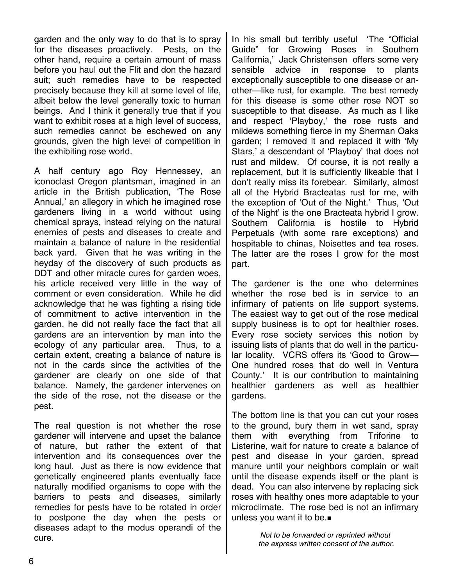garden and the only way to do that is to spray for the diseases proactively. Pests, on the other hand, require a certain amount of mass before you haul out the Flit and don the hazard suit; such remedies have to be respected precisely because they kill at some level of life, albeit below the level generally toxic to human beings. And I think it generally true that if you want to exhibit roses at a high level of success, such remedies cannot be eschewed on any grounds, given the high level of competition in the exhibiting rose world.

A half century ago Roy Hennessey, an iconoclast Oregon plantsman, imagined in an article in the British publication, 'The Rose Annual,' an allegory in which he imagined rose gardeners living in a world without using chemical sprays, instead relying on the natural enemies of pests and diseases to create and maintain a balance of nature in the residential back yard. Given that he was writing in the heyday of the discovery of such products as DDT and other miracle cures for garden woes. his article received very little in the way of comment or even consideration. While he did acknowledge that he was fighting a rising tide of commitment to active intervention in the garden, he did not really face the fact that all gardens are an intervention by man into the ecology of any particular area. Thus, to a certain extent, creating a balance of nature is not in the cards since the activities of the gardener are clearly on one side of that balance. Namely, the gardener intervenes on the side of the rose, not the disease or the pest.

The real question is not whether the rose gardener will intervene and upset the balance of nature, but rather the extent of that intervention and its consequences over the long haul. Just as there is now evidence that genetically engineered plants eventually face naturally modified organisms to cope with the barriers to pests and diseases, similarly remedies for pests have to be rotated in order to postpone the day when the pests or diseases adapt to the modus operandi of the cure.

In his small but terribly useful 'The "Official Guide" for Growing Roses in Southern California,' Jack Christensen offers some very sensible advice in response to plants exceptionally susceptible to one disease or another—like rust, for example. The best remedy for this disease is some other rose NOT so susceptible to that disease. As much as I like and respect 'Playboy,' the rose rusts and mildews something fierce in my Sherman Oaks garden; I removed it and replaced it with 'My Stars,' a descendant of 'Playboy' that does not rust and mildew. Of course, it is not really a replacement, but it is sufficiently likeable that I don't really miss its forebear. Similarly, almost all of the Hybrid Bracteatas rust for me, with the exception of 'Out of the Night.' Thus, 'Out of the Night' is the one Bracteata hybrid I grow. Southern California is hostile to Hybrid Perpetuals (with some rare exceptions) and hospitable to chinas, Noisettes and tea roses. The latter are the roses I grow for the most part.

The gardener is the one who determines whether the rose bed is in service to an infirmary of patients on life support systems. The easiest way to get out of the rose medical supply business is to opt for healthier roses. Every rose society services this notion by issuing lists of plants that do well in the particular locality. VCRS offers its 'Good to Grow— One hundred roses that do well in Ventura County.' It is our contribution to maintaining healthier gardeners as well as healthier gardens.

The bottom line is that you can cut your roses to the ground, bury them in wet sand, spray them with everything from Triforine to Listerine, wait for nature to create a balance of pest and disease in your garden, spread manure until your neighbors complain or wait until the disease expends itself or the plant is dead. You can also intervene by replacing sick roses with healthy ones more adaptable to your microclimate. The rose bed is not an infirmary unless you want it to be.

> *Not to be forwarded or reprinted without the express written consent of the author.*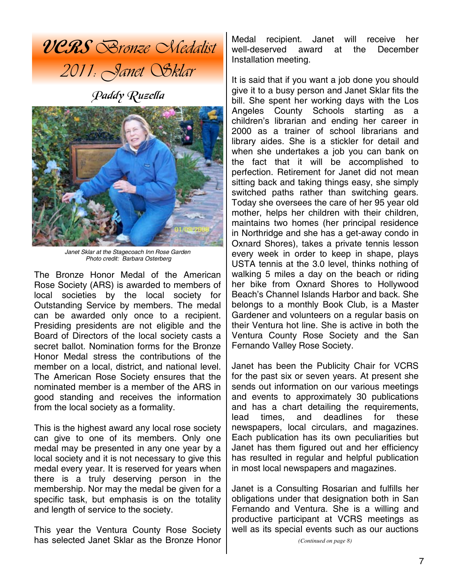

Paddy Ruzella



*Janet Sklar at the Stagecoach Inn Rose Garden Photo credit: Barbara Osterberg* 

The Bronze Honor Medal of the American Rose Society (ARS) is awarded to members of local societies by the local society for Outstanding Service by members. The medal can be awarded only once to a recipient. Presiding presidents are not eligible and the Board of Directors of the local society casts a secret ballot. Nomination forms for the Bronze Honor Medal stress the contributions of the member on a local, district, and national level. The American Rose Society ensures that the nominated member is a member of the ARS in good standing and receives the information from the local society as a formality.

This is the highest award any local rose society can give to one of its members. Only one medal may be presented in any one year by a local society and it is not necessary to give this medal every year. It is reserved for years when there is a truly deserving person in the membership. Nor may the medal be given for a specific task, but emphasis is on the totality and length of service to the society.

This year the Ventura County Rose Society has selected Janet Sklar as the Bronze Honor

Medal recipient. Janet will receive her well-deserved award at the December Installation meeting.

It is said that if you want a job done you should give it to a busy person and Janet Sklar fits the bill. She spent her working days with the Los Angeles County Schools starting as a children's librarian and ending her career in 2000 as a trainer of school librarians and library aides. She is a stickler for detail and when she undertakes a job you can bank on the fact that it will be accomplished to perfection. Retirement for Janet did not mean sitting back and taking things easy, she simply switched paths rather than switching gears. Today she oversees the care of her 95 year old mother, helps her children with their children, maintains two homes (her principal residence in Northridge and she has a get-away condo in Oxnard Shores), takes a private tennis lesson every week in order to keep in shape, plays USTA tennis at the 3.0 level, thinks nothing of walking 5 miles a day on the beach or riding her bike from Oxnard Shores to Hollywood Beach's Channel Islands Harbor and back. She belongs to a monthly Book Club, is a Master Gardener and volunteers on a regular basis on their Ventura hot line. She is active in both the Ventura County Rose Society and the San Fernando Valley Rose Society.

Janet has been the Publicity Chair for VCRS for the past six or seven years. At present she sends out information on our various meetings and events to approximately 30 publications and has a chart detailing the requirements, lead times, and deadlines for these newspapers, local circulars, and magazines. Each publication has its own peculiarities but Janet has them figured out and her efficiency has resulted in regular and helpful publication in most local newspapers and magazines.

Janet is a Consulting Rosarian and fulfills her obligations under that designation both in San Fernando and Ventura. She is a willing and productive participant at VCRS meetings as well as its special events such as our auctions

*(Continued on page 8)*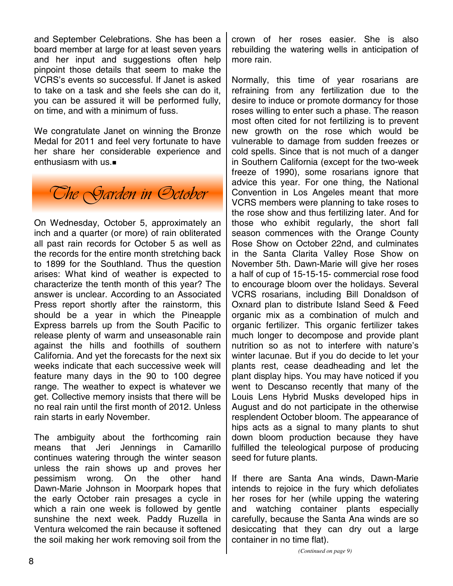and September Celebrations. She has been a board member at large for at least seven years and her input and suggestions often help pinpoint those details that seem to make the VCRS's events so successful. If Janet is asked to take on a task and she feels she can do it, you can be assured it will be performed fully, on time, and with a minimum of fuss.

We congratulate Janet on winning the Bronze Medal for 2011 and feel very fortunate to have her share her considerable experience and enthusiasm with us.



On Wednesday, October 5, approximately an inch and a quarter (or more) of rain obliterated all past rain records for October 5 as well as the records for the entire month stretching back to 1899 for the Southland. Thus the question arises: What kind of weather is expected to characterize the tenth month of this year? The answer is unclear. According to an Associated Press report shortly after the rainstorm, this should be a year in which the Pineapple Express barrels up from the South Pacific to release plenty of warm and unseasonable rain against the hills and foothills of southern California. And yet the forecasts for the next six weeks indicate that each successive week will feature many days in the 90 to 100 degree range. The weather to expect is whatever we get. Collective memory insists that there will be no real rain until the first month of 2012. Unless rain starts in early November.

The ambiguity about the forthcoming rain means that Jeri Jennings in Camarillo continues watering through the winter season unless the rain shows up and proves her pessimism wrong. On the other hand Dawn-Marie Johnson in Moorpark hopes that the early October rain presages a cycle in which a rain one week is followed by gentle sunshine the next week. Paddy Ruzella in Ventura welcomed the rain because it softened the soil making her work removing soil from the crown of her roses easier. She is also rebuilding the watering wells in anticipation of more rain.

Normally, this time of year rosarians are refraining from any fertilization due to the desire to induce or promote dormancy for those roses willing to enter such a phase. The reason most often cited for not fertilizing is to prevent new growth on the rose which would be vulnerable to damage from sudden freezes or cold spells. Since that is not much of a danger in Southern California (except for the two-week freeze of 1990), some rosarians ignore that advice this year. For one thing, the National Convention in Los Angeles meant that more VCRS members were planning to take roses to the rose show and thus fertilizing later. And for those who exhibit regularly, the short fall season commences with the Orange County Rose Show on October 22nd, and culminates in the Santa Clarita Valley Rose Show on November 5th. Dawn-Marie will give her roses a half of cup of 15-15-15- commercial rose food to encourage bloom over the holidays. Several VCRS rosarians, including Bill Donaldson of Oxnard plan to distribute Island Seed & Feed organic mix as a combination of mulch and organic fertilizer. This organic fertilizer takes much longer to decompose and provide plant nutrition so as not to interfere with nature's winter lacunae. But if you do decide to let your plants rest, cease deadheading and let the plant display hips. You may have noticed if you went to Descanso recently that many of the Louis Lens Hybrid Musks developed hips in August and do not participate in the otherwise resplendent October bloom. The appearance of hips acts as a signal to many plants to shut down bloom production because they have fulfilled the teleological purpose of producing seed for future plants.

If there are Santa Ana winds, Dawn-Marie intends to rejoice in the fury which defoliates her roses for her (while upping the watering and watching container plants especially carefully, because the Santa Ana winds are so desiccating that they can dry out a large container in no time flat).

*(Continued on page 9)*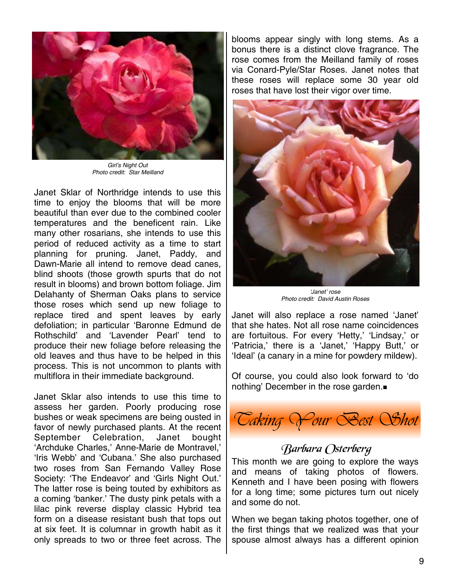

*Girl's Night Out Photo credit: Star Meilland* 

Janet Sklar of Northridge intends to use this time to enjoy the blooms that will be more beautiful than ever due to the combined cooler temperatures and the beneficent rain. Like many other rosarians, she intends to use this period of reduced activity as a time to start planning for pruning. Janet, Paddy, and Dawn-Marie all intend to remove dead canes, blind shoots (those growth spurts that do not result in blooms) and brown bottom foliage. Jim Delahanty of Sherman Oaks plans to service those roses which send up new foliage to replace tired and spent leaves by early defoliation; in particular 'Baronne Edmund de Rothschild' and 'Lavender Pearl' tend to produce their new foliage before releasing the old leaves and thus have to be helped in this process. This is not uncommon to plants with multiflora in their immediate background.

Janet Sklar also intends to use this time to assess her garden. Poorly producing rose bushes or weak specimens are being ousted in favor of newly purchased plants. At the recent September Celebration, Janet bought 'Archduke Charles,' Anne-Marie de Montravel,' 'Iris Webb' and 'Cubana.' She also purchased two roses from San Fernando Valley Rose Society: 'The Endeavor' and 'Girls Night Out.' The latter rose is being touted by exhibitors as a coming 'banker.' The dusty pink petals with a lilac pink reverse display classic Hybrid tea form on a disease resistant bush that tops out at six feet. It is columnar in growth habit as it only spreads to two or three feet across. The

blooms appear singly with long stems. As a bonus there is a distinct clove fragrance. The rose comes from the Meilland family of roses via Conard-Pyle/Star Roses. Janet notes that these roses will replace some 30 year old roses that have lost their vigor over time.



*'Janet' rose Photo credit: David Austin Roses* 

Janet will also replace a rose named 'Janet' that she hates. Not all rose name coincidences are fortuitous. For every 'Hetty,' 'Lindsay,' or 'Patricia,' there is a 'Janet,' 'Happy Butt,' or 'Ideal' (a canary in a mine for powdery mildew).

Of course, you could also look forward to 'do nothing' December in the rose garden.



## Barbara Osterberg

This month we are going to explore the ways and means of taking photos of flowers. Kenneth and I have been posing with flowers for a long time; some pictures turn out nicely and some do not.

When we began taking photos together, one of the first things that we realized was that your spouse almost always has a different opinion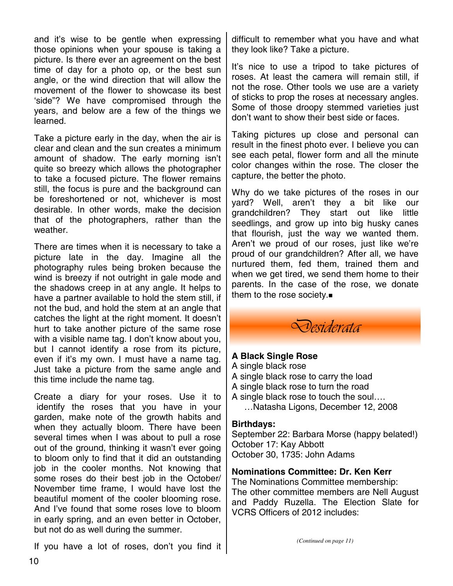and it's wise to be gentle when expressing those opinions when your spouse is taking a picture. Is there ever an agreement on the best time of day for a photo op, or the best sun angle, or the wind direction that will allow the movement of the flower to showcase its best 'side"? We have compromised through the years, and below are a few of the things we learned.

Take a picture early in the day, when the air is clear and clean and the sun creates a minimum amount of shadow. The early morning isn't quite so breezy which allows the photographer to take a focused picture. The flower remains still, the focus is pure and the background can be foreshortened or not, whichever is most desirable. In other words, make the decision that of the photographers, rather than the weather.

There are times when it is necessary to take a picture late in the day. Imagine all the photography rules being broken because the wind is breezy if not outright in gale mode and the shadows creep in at any angle. It helps to have a partner available to hold the stem still, if not the bud, and hold the stem at an angle that catches the light at the right moment. It doesn't hurt to take another picture of the same rose with a visible name tag. I don't know about you, but I cannot identify a rose from its picture, even if it's my own. I must have a name tag. Just take a picture from the same angle and this time include the name tag.

Create a diary for your roses. Use it to identify the roses that you have in your garden, make note of the growth habits and when they actually bloom. There have been several times when I was about to pull a rose out of the ground, thinking it wasn't ever going to bloom only to find that it did an outstanding job in the cooler months. Not knowing that some roses do their best job in the October/ November time frame, I would have lost the beautiful moment of the cooler blooming rose. And I've found that some roses love to bloom in early spring, and an even better in October, but not do as well during the summer.

If you have a lot of roses, don't you find it

difficult to remember what you have and what they look like? Take a picture.

It's nice to use a tripod to take pictures of roses. At least the camera will remain still, if not the rose. Other tools we use are a variety of sticks to prop the roses at necessary angles. Some of those droopy stemmed varieties just don't want to show their best side or faces.

Taking pictures up close and personal can result in the finest photo ever. I believe you can see each petal, flower form and all the minute color changes within the rose. The closer the capture, the better the photo.

Why do we take pictures of the roses in our yard? Well, aren't they a bit like our grandchildren? They start out like little seedlings, and grow up into big husky canes that flourish, just the way we wanted them. Aren't we proud of our roses, just like we're proud of our grandchildren? After all, we have nurtured them, fed them, trained them and when we get tired, we send them home to their parents. In the case of the rose, we donate them to the rose society.



#### **A Black Single Rose**

A single black rose A single black rose to carry the load A single black rose to turn the road A single black rose to touch the soul…. …Natasha Ligons, December 12, 2008

## **Birthdays:**

September 22: Barbara Morse (happy belated!) October 17: Kay Abbott October 30, 1735: John Adams

**Nominations Committee: Dr. Ken Kerr** 

The Nominations Committee membership: The other committee members are Nell August and Paddy Ruzella. The Election Slate for VCRS Officers of 2012 includes:

*(Continued on page 11)*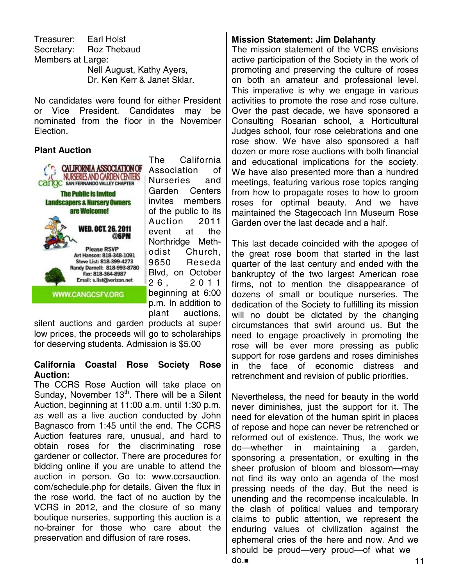Treasurer: Earl Holst Secretary: Roz Thebaud Members at Large: Nell August, Kathy Ayers, Dr. Ken Kerr & Janet Sklar.

No candidates were found for either President or Vice President. Candidates may be nominated from the floor in the November Election.

## **Plant Auction**



The California Association of Nurseries and Garden Centers invites members of the public to its Auction 2011 event at the Northridge Methodist Church, 9650 Reseda Blvd, on October 2 6 , 2 0 1 1 beginning at 6:00 p.m. In addition to plant auctions,

silent auctions and garden products at super low prices, the proceeds will go to scholarships for deserving students. Admission is \$5.00

#### **California Coastal Rose Society Rose Auction:**

The CCRS Rose Auction will take place on Sunday, November  $13<sup>th</sup>$ . There will be a Silent Auction, beginning at 11:00 a.m. until 1:30 p.m. as well as a live auction conducted by John Bagnasco from 1:45 until the end. The CCRS Auction features rare, unusual, and hard to obtain roses for the discriminating rose gardener or collector. There are procedures for bidding online if you are unable to attend the auction in person. Go to: www.ccrsauction. com/schedule.php for details. Given the flux in the rose world, the fact of no auction by the VCRS in 2012, and the closure of so many boutique nurseries, supporting this auction is a no-brainer for those who care about the preservation and diffusion of rare roses.

## **Mission Statement: Jim Delahanty**

The mission statement of the VCRS envisions active participation of the Society in the work of promoting and preserving the culture of roses on both an amateur and professional level. This imperative is why we engage in various activities to promote the rose and rose culture. Over the past decade, we have sponsored a Consulting Rosarian school, a Horticultural Judges school, four rose celebrations and one rose show. We have also sponsored a half dozen or more rose auctions with both financial and educational implications for the society. We have also presented more than a hundred meetings, featuring various rose topics ranging from how to propagate roses to how to groom roses for optimal beauty. And we have maintained the Stagecoach Inn Museum Rose Garden over the last decade and a half.

This last decade coincided with the apogee of the great rose boom that started in the last quarter of the last century and ended with the bankruptcy of the two largest American rose firms, not to mention the disappearance of dozens of small or boutique nurseries. The dedication of the Society to fulfilling its mission will no doubt be dictated by the changing circumstances that swirl around us. But the need to engage proactively in promoting the rose will be ever more pressing as public support for rose gardens and roses diminishes in the face of economic distress and retrenchment and revision of public priorities.

Nevertheless, the need for beauty in the world never diminishes, just the support for it. The need for elevation of the human spirit in places of repose and hope can never be retrenched or reformed out of existence. Thus, the work we do—whether in maintaining a garden, sponsoring a presentation, or exulting in the sheer profusion of bloom and blossom—may not find its way onto an agenda of the most pressing needs of the day. But the need is unending and the recompense incalculable. In the clash of political values and temporary claims to public attention, we represent the enduring values of civilization against the ephemeral cries of the here and now. And we should be proud—very proud—of what we  $\mathsf{do} =$  11